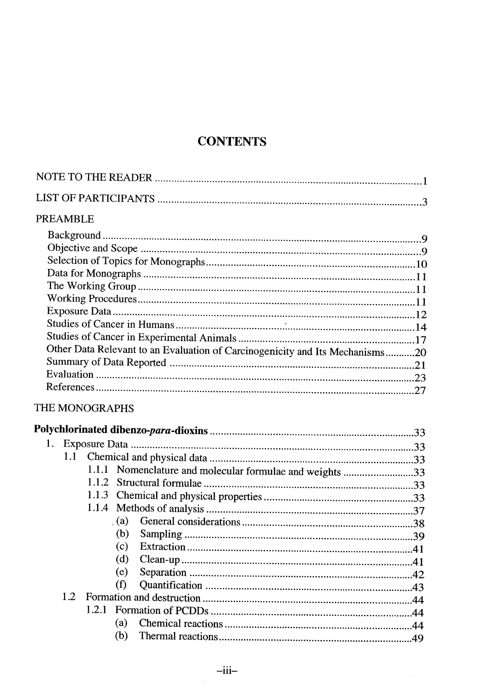## **CONTENTS**

## PREAMBLE

| Other Data Relevant to an Evaluation of Carcinogenicity and Its Mechanisms20 |  |
|------------------------------------------------------------------------------|--|
|                                                                              |  |
|                                                                              |  |
|                                                                              |  |
|                                                                              |  |

## THE MONOGRAPHS

| 1.  |        |     |                                                          |  |
|-----|--------|-----|----------------------------------------------------------|--|
|     |        |     |                                                          |  |
|     |        |     | 1.1.1 Nomenclature and molecular formulae and weights 33 |  |
|     | 1.1.2. |     |                                                          |  |
|     |        |     |                                                          |  |
|     |        |     |                                                          |  |
|     |        | (a) |                                                          |  |
|     |        | (b) |                                                          |  |
|     |        | (c) |                                                          |  |
|     |        | (d) |                                                          |  |
|     |        | (e) |                                                          |  |
|     |        | (f) |                                                          |  |
| 1.2 |        |     |                                                          |  |
|     | 1.2.1  |     |                                                          |  |
|     |        | (a) |                                                          |  |
|     |        | (b) |                                                          |  |

 $\bar{z}$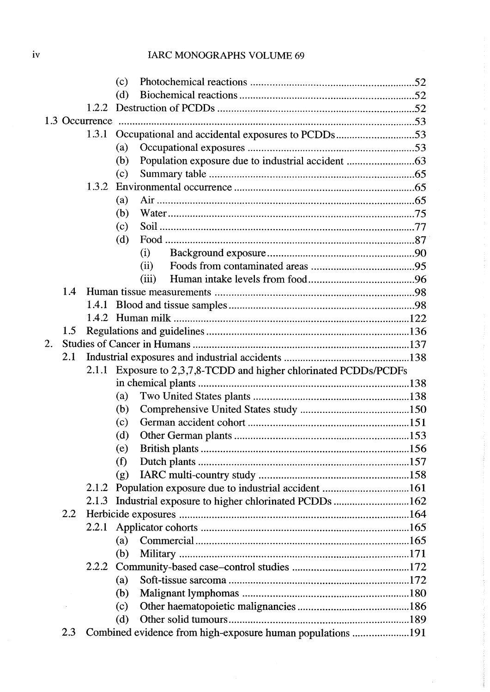## IARC MONOGRAPHS VOLUME 69

|    |     | (c)                                                               |  |  |  |
|----|-----|-------------------------------------------------------------------|--|--|--|
|    |     | (d)                                                               |  |  |  |
|    |     |                                                                   |  |  |  |
|    |     |                                                                   |  |  |  |
|    |     | Occupational and accidental exposures to PCDDs53<br>1.3.1         |  |  |  |
|    |     | (a)                                                               |  |  |  |
|    |     | (b)                                                               |  |  |  |
|    |     | (c)                                                               |  |  |  |
|    |     | 1.3.2                                                             |  |  |  |
|    |     | (a)                                                               |  |  |  |
|    |     | (b)                                                               |  |  |  |
|    |     | (c)                                                               |  |  |  |
|    |     | (d)                                                               |  |  |  |
|    |     | (i)                                                               |  |  |  |
|    |     | (ii)                                                              |  |  |  |
|    |     | (iii)                                                             |  |  |  |
|    | 1.4 |                                                                   |  |  |  |
|    |     | 1.4.1                                                             |  |  |  |
|    |     |                                                                   |  |  |  |
|    | 1.5 |                                                                   |  |  |  |
| 2. |     |                                                                   |  |  |  |
|    | 2.1 |                                                                   |  |  |  |
|    |     | 2.1.1 Exposure to 2,3,7,8-TCDD and higher chlorinated PCDDs/PCDFs |  |  |  |
|    |     |                                                                   |  |  |  |
|    |     | (a)                                                               |  |  |  |
|    |     | (b)                                                               |  |  |  |
|    |     | (c)                                                               |  |  |  |
|    |     | (d)                                                               |  |  |  |
|    |     | (e)                                                               |  |  |  |
|    |     | (f)                                                               |  |  |  |
|    |     | (g)                                                               |  |  |  |
|    |     | 2.1.2                                                             |  |  |  |
|    |     | Industrial exposure to higher chlorinated PCDDs 162<br>2.1.3      |  |  |  |
|    | 2.2 |                                                                   |  |  |  |
|    |     | 2.2.1                                                             |  |  |  |
|    |     | (a)                                                               |  |  |  |
|    |     | (b)                                                               |  |  |  |
|    |     |                                                                   |  |  |  |
|    |     | (a)                                                               |  |  |  |
|    |     | (b)                                                               |  |  |  |
|    |     | (c)                                                               |  |  |  |
|    |     | (d)                                                               |  |  |  |
|    | 2.3 |                                                                   |  |  |  |
|    |     |                                                                   |  |  |  |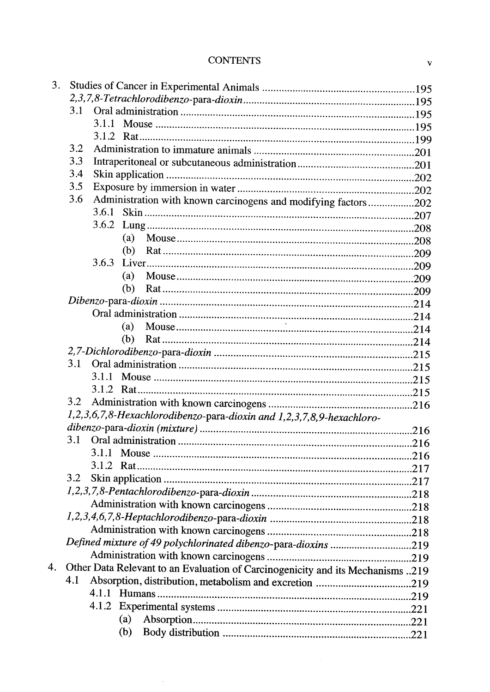#### **CONTENTS**

| 3. |     |                                                                                |  |
|----|-----|--------------------------------------------------------------------------------|--|
|    |     |                                                                                |  |
|    | 3.1 |                                                                                |  |
|    |     | 3.1.1                                                                          |  |
|    |     |                                                                                |  |
|    | 3.2 |                                                                                |  |
|    | 3.3 |                                                                                |  |
|    | 3.4 |                                                                                |  |
|    | 3.5 |                                                                                |  |
|    | 3.6 |                                                                                |  |
|    |     | Administration with known carcinogens and modifying factors 202<br>3.6.1       |  |
|    |     | 3.6.2                                                                          |  |
|    |     |                                                                                |  |
|    |     | (a)                                                                            |  |
|    |     | (b)                                                                            |  |
|    |     | 3.6.3                                                                          |  |
|    |     | (a)                                                                            |  |
|    |     | (b)                                                                            |  |
|    |     |                                                                                |  |
|    |     |                                                                                |  |
|    |     | (a)                                                                            |  |
|    |     | (b)                                                                            |  |
|    |     |                                                                                |  |
|    | 3.1 |                                                                                |  |
|    |     |                                                                                |  |
|    |     |                                                                                |  |
|    | 3.2 |                                                                                |  |
|    |     | 1,2,3,6,7,8-Hexachlorodibenzo-para-dioxin and 1,2,3,7,8,9-hexachloro-          |  |
|    |     |                                                                                |  |
|    | 3.1 |                                                                                |  |
|    |     | 3.1.1                                                                          |  |
|    |     | 3.1.2 Rat                                                                      |  |
|    | 3.2 |                                                                                |  |
|    |     |                                                                                |  |
|    |     |                                                                                |  |
|    |     |                                                                                |  |
|    |     |                                                                                |  |
|    |     | Defined mixture of 49 polychlorinated dibenzo-para-dioxins 219                 |  |
|    |     |                                                                                |  |
| 4. |     |                                                                                |  |
|    | 4.1 | Other Data Relevant to an Evaluation of Carcinogenicity and its Mechanisms 219 |  |
|    |     |                                                                                |  |
|    |     |                                                                                |  |
|    |     |                                                                                |  |
|    |     | (a)                                                                            |  |
|    |     | (b)                                                                            |  |

 $\hat{\mathcal{A}}$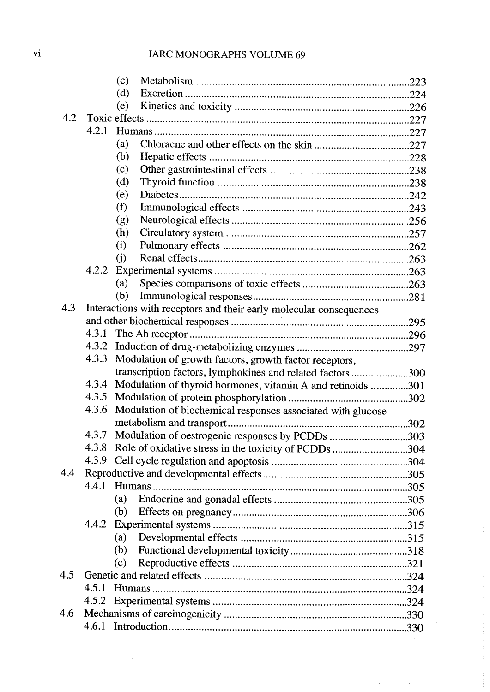# vi IARC MONOGRAPHS VOLUME 69

|     | (c)   |                                                                    |  |
|-----|-------|--------------------------------------------------------------------|--|
|     | (d)   |                                                                    |  |
|     | (e)   |                                                                    |  |
| 4.2 |       |                                                                    |  |
|     | 4.2.1 |                                                                    |  |
|     | (a)   |                                                                    |  |
|     | (b)   |                                                                    |  |
|     | (c)   |                                                                    |  |
|     | (d)   |                                                                    |  |
|     | (e)   |                                                                    |  |
|     | (f)   |                                                                    |  |
|     | (g)   |                                                                    |  |
|     | (h)   |                                                                    |  |
|     | (i)   |                                                                    |  |
|     | (i)   |                                                                    |  |
|     | 4.2.2 |                                                                    |  |
|     | (a)   |                                                                    |  |
|     | (b)   |                                                                    |  |
| 4.3 |       | Interactions with receptors and their early molecular consequences |  |
|     |       |                                                                    |  |
|     | 4.3.1 |                                                                    |  |
|     | 4.3.2 |                                                                    |  |
|     | 4.3.3 | Modulation of growth factors, growth factor receptors,             |  |
|     |       | transcription factors, lymphokines and related factors 300         |  |
|     | 4.3.4 | Modulation of thyroid hormones, vitamin A and retinoids 301        |  |
|     | 4.3.5 |                                                                    |  |
|     | 4.3.6 | Modulation of biochemical responses associated with glucose        |  |
|     |       |                                                                    |  |
|     | 4.3.7 | Modulation of oestrogenic responses by PCDDs 303                   |  |
|     | 4.3.8 | Role of oxidative stress in the toxicity of PCDDs 304              |  |
|     | 4.3.9 |                                                                    |  |
| 4.4 |       |                                                                    |  |
|     | 4.4.1 |                                                                    |  |
|     | (a)   |                                                                    |  |
|     | (b)   |                                                                    |  |
|     | 4.4.2 |                                                                    |  |
|     | (a)   |                                                                    |  |
|     | (b)   |                                                                    |  |
|     | (c)   |                                                                    |  |
| 4.5 |       |                                                                    |  |
|     | 4.5.1 |                                                                    |  |
|     | 4.5.2 |                                                                    |  |
| 4.6 |       |                                                                    |  |
|     |       |                                                                    |  |

÷,

 $\bar{\beta}$ 

 $\Delta \sim 10^{10}$ 

 $\bar{\beta}$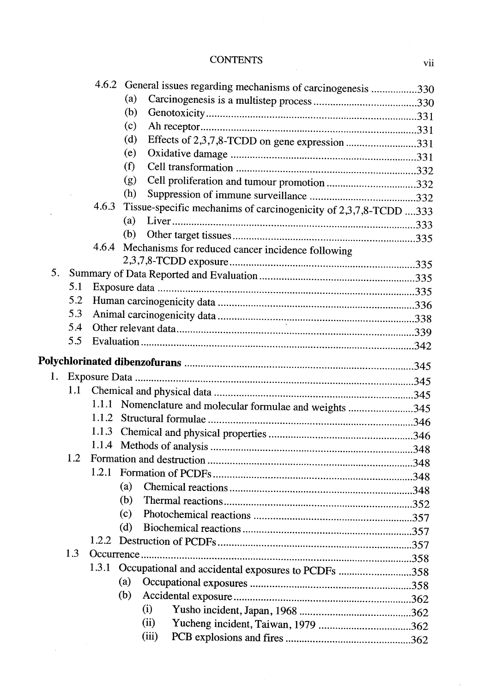# CONTENTS vii

|    |     |       | 4.6.2 General issues regarding mechanisms of carcinogenesis 330  |  |
|----|-----|-------|------------------------------------------------------------------|--|
|    |     |       | (a)                                                              |  |
|    |     |       | (b)                                                              |  |
|    |     |       | (c)                                                              |  |
|    |     |       | (d)<br>Effects of 2,3,7,8-TCDD on gene expression 331            |  |
|    |     |       | (e)                                                              |  |
|    |     |       | (f)                                                              |  |
|    |     |       | (g)<br>Cell proliferation and tumour promotion 332               |  |
|    |     |       | (h)                                                              |  |
|    |     | 4.6.3 | Tissue-specific mechanims of carcinogenicity of 2,3,7,8-TCDD 333 |  |
|    |     |       | (a)                                                              |  |
|    |     |       | (b)                                                              |  |
|    |     | 4.6.4 | Mechanisms for reduced cancer incidence following                |  |
|    |     |       |                                                                  |  |
| 5. |     |       |                                                                  |  |
|    | 5.1 |       |                                                                  |  |
|    | 5.2 |       |                                                                  |  |
|    | 5.3 |       |                                                                  |  |
|    | 5.4 |       |                                                                  |  |
|    | 5.5 |       |                                                                  |  |
|    |     |       |                                                                  |  |
| 1. |     |       |                                                                  |  |
|    | 1.1 |       |                                                                  |  |
|    |     |       | 1.1.1 Nomenclature and molecular formulae and weights 345        |  |
|    |     | 1.1.2 |                                                                  |  |
|    |     | 1.1.3 |                                                                  |  |
|    |     |       |                                                                  |  |
|    | 1.2 |       |                                                                  |  |
|    |     |       |                                                                  |  |
|    |     |       | (a)                                                              |  |
|    |     |       | (b)                                                              |  |
|    |     |       | (c)                                                              |  |
|    |     |       | (d)                                                              |  |
|    |     | 1.2.2 |                                                                  |  |
|    | 1.3 |       |                                                                  |  |
|    |     | 1.3.1 | Occupational and accidental exposures to PCDFs 358               |  |
|    |     |       | (a)                                                              |  |
|    |     |       | (b)                                                              |  |
|    |     |       | (i)                                                              |  |
|    |     |       | (ii)                                                             |  |
|    |     |       | (iii)                                                            |  |
|    |     |       |                                                                  |  |

 $\hat{\mathcal{L}}$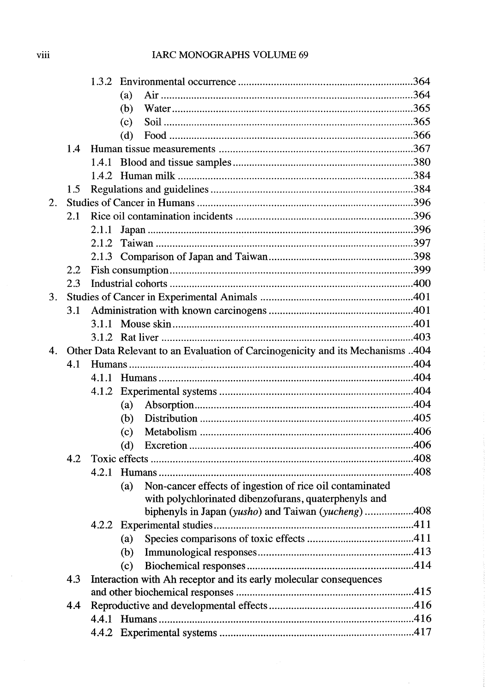|    |     |       | (a) |                                                                                |  |
|----|-----|-------|-----|--------------------------------------------------------------------------------|--|
|    |     |       | (b) |                                                                                |  |
|    |     |       | (c) |                                                                                |  |
|    |     |       | (d) |                                                                                |  |
|    | 1.4 |       |     |                                                                                |  |
|    |     | 1.4.1 |     |                                                                                |  |
|    |     |       |     |                                                                                |  |
|    | 1.5 |       |     |                                                                                |  |
| 2. |     |       |     |                                                                                |  |
|    | 2.1 |       |     |                                                                                |  |
|    |     | 2.1.1 |     |                                                                                |  |
|    |     | 2.1.2 |     |                                                                                |  |
|    |     |       |     |                                                                                |  |
|    | 2.2 |       |     |                                                                                |  |
|    | 2.3 |       |     |                                                                                |  |
| 3. |     |       |     |                                                                                |  |
|    | 3.1 |       |     |                                                                                |  |
|    |     | 3.1.1 |     |                                                                                |  |
|    |     |       |     |                                                                                |  |
| 4. |     |       |     | Other Data Relevant to an Evaluation of Carcinogenicity and its Mechanisms 404 |  |
|    | 4.1 |       |     |                                                                                |  |
|    |     |       |     |                                                                                |  |
|    |     | 4.1.2 |     |                                                                                |  |
|    |     |       | (a) |                                                                                |  |
|    |     |       | (b) |                                                                                |  |
|    |     |       | (c) |                                                                                |  |
|    |     |       | (d) |                                                                                |  |
|    | 4.2 |       |     |                                                                                |  |
|    |     | 4.2.1 |     |                                                                                |  |
|    |     |       | (a) | Non-cancer effects of ingestion of rice oil contaminated                       |  |
|    |     |       |     | with polychlorinated dibenzofurans, quaterphenyls and                          |  |
|    |     |       |     | biphenyls in Japan (yusho) and Taiwan (yucheng)408                             |  |
|    |     |       |     |                                                                                |  |
|    |     |       | (a) |                                                                                |  |
|    |     |       | (b) |                                                                                |  |
|    |     |       | (c) |                                                                                |  |
|    | 4.3 |       |     | Interaction with Ah receptor and its early molecular consequences              |  |
|    |     |       |     |                                                                                |  |
|    | 4.4 |       |     |                                                                                |  |
|    |     |       |     |                                                                                |  |
|    |     |       |     |                                                                                |  |

 $\ddot{\phantom{a}}$ 

 $\bar{\mathcal{A}}$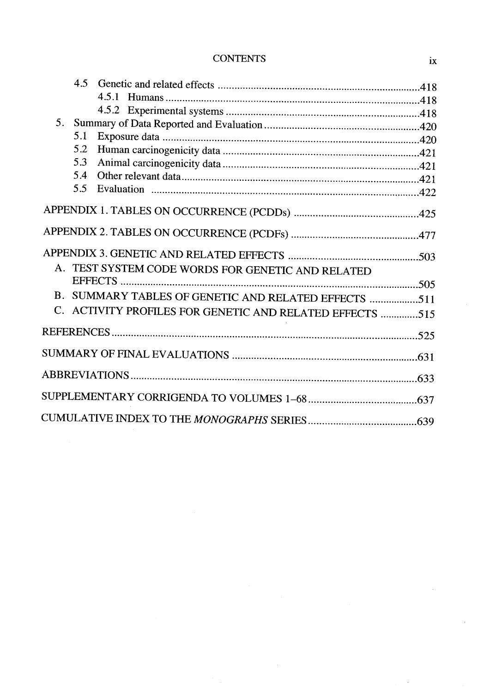## CONTENTS ix

|         | 4.5 |                                                       |  |
|---------|-----|-------------------------------------------------------|--|
|         |     |                                                       |  |
|         |     | 4.5.1                                                 |  |
|         |     |                                                       |  |
| $5_{-}$ |     |                                                       |  |
|         | 5.1 |                                                       |  |
|         | 5.2 |                                                       |  |
|         | 5.3 |                                                       |  |
|         | 5.4 |                                                       |  |
|         | 5.5 |                                                       |  |
|         |     |                                                       |  |
|         |     |                                                       |  |
|         |     |                                                       |  |
|         |     |                                                       |  |
|         |     |                                                       |  |
|         |     | A. TEST SYSTEM CODE WORDS FOR GENETIC AND RELATED     |  |
|         |     |                                                       |  |
|         |     | B. SUMMARY TABLES OF GENETIC AND RELATED EFFECTS 511  |  |
|         |     |                                                       |  |
|         |     | ACTIVITY PROFILES FOR GENETIC AND RELATED EFFECTS 515 |  |
|         |     |                                                       |  |
|         |     |                                                       |  |
|         |     |                                                       |  |
|         |     |                                                       |  |
|         |     |                                                       |  |
|         |     |                                                       |  |
|         |     |                                                       |  |
|         |     |                                                       |  |

 $\bar{a}$ 

 $\bar{a}$